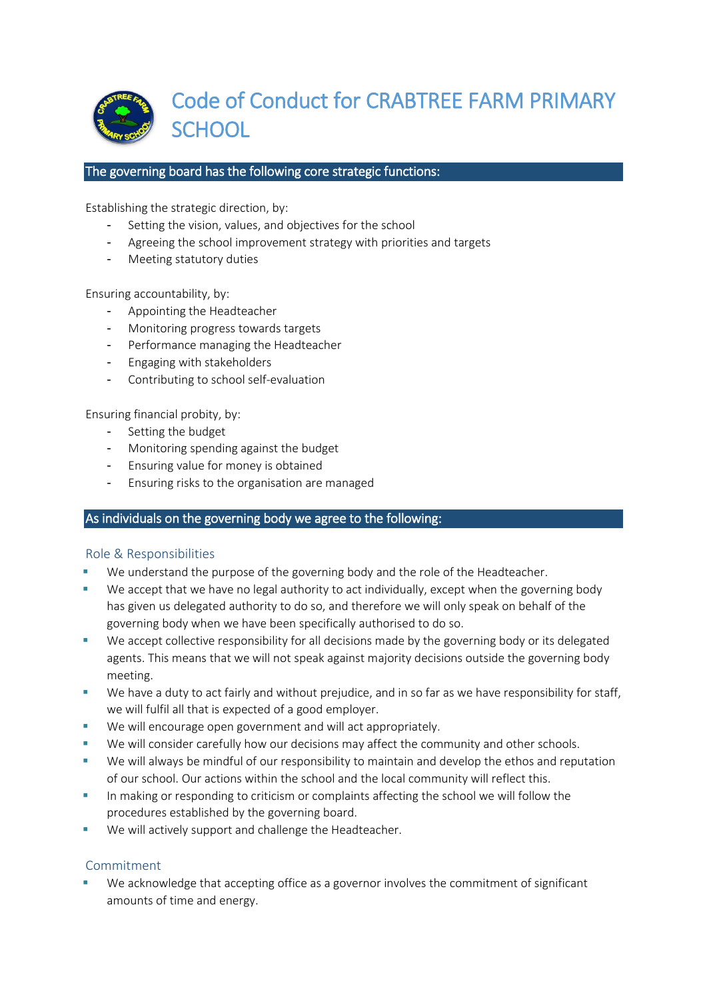

#### The governing board has the following core strategic functions:

Establishing the strategic direction, by:

- Setting the vision, values, and objectives for the school
- Agreeing the school improvement strategy with priorities and targets
- Meeting statutory duties

Ensuring accountability, by:

- Appointing the Headteacher
- Monitoring progress towards targets
- Performance managing the Headteacher
- Engaging with stakeholders
- Contributing to school self-evaluation

Ensuring financial probity, by:

- Setting the budget
- Monitoring spending against the budget
- Ensuring value for money is obtained
- Ensuring risks to the organisation are managed

## As individuals on the governing body we agree to the following:

## Role & Responsibilities

- We understand the purpose of the governing body and the role of the Headteacher.
- We accept that we have no legal authority to act individually, except when the governing body has given us delegated authority to do so, and therefore we will only speak on behalf of the governing body when we have been specifically authorised to do so.
- We accept collective responsibility for all decisions made by the governing body or its delegated agents. This means that we will not speak against majority decisions outside the governing body meeting.
- We have a duty to act fairly and without prejudice, and in so far as we have responsibility for staff, we will fulfil all that is expected of a good employer.
- We will encourage open government and will act appropriately.
- We will consider carefully how our decisions may affect the community and other schools.
- We will always be mindful of our responsibility to maintain and develop the ethos and reputation of our school. Our actions within the school and the local community will reflect this.
- **■** In making or responding to criticism or complaints affecting the school we will follow the procedures established by the governing board.
- We will actively support and challenge the Headteacher.

## Commitment

We acknowledge that accepting office as a governor involves the commitment of significant amounts of time and energy.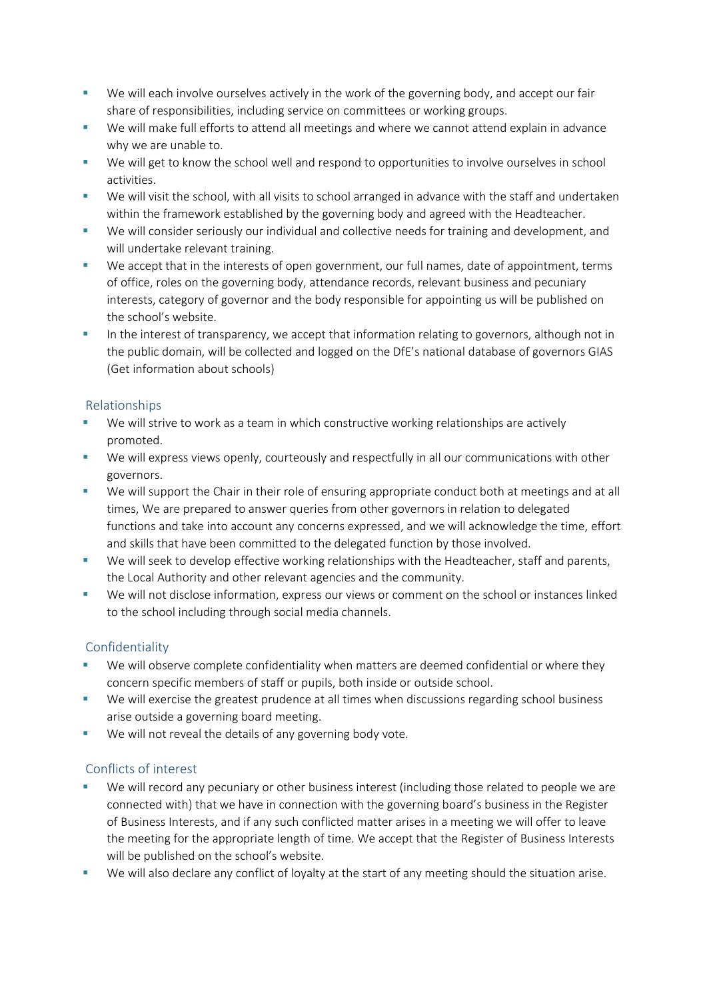- We will each involve ourselves actively in the work of the governing body, and accept our fair share of responsibilities, including service on committees or working groups.
- We will make full efforts to attend all meetings and where we cannot attend explain in advance why we are unable to.
- We will get to know the school well and respond to opportunities to involve ourselves in school activities.
- We will visit the school, with all visits to school arranged in advance with the staff and undertaken within the framework established by the governing body and agreed with the Headteacher.
- We will consider seriously our individual and collective needs for training and development, and will undertake relevant training.
- We accept that in the interests of open government, our full names, date of appointment, terms of office, roles on the governing body, attendance records, relevant business and pecuniary interests, category of governor and the body responsible for appointing us will be published on the school's website.
- In the interest of transparency, we accept that information relating to governors, although not in the public domain, will be collected and logged on the DfE's national database of governors GIAS (Get information about schools)

# Relationships

- We will strive to work as a team in which constructive working relationships are actively promoted.
- We will express views openly, courteously and respectfully in all our communications with other governors.
- We will support the Chair in their role of ensuring appropriate conduct both at meetings and at all times, We are prepared to answer queries from other governors in relation to delegated functions and take into account any concerns expressed, and we will acknowledge the time, effort and skills that have been committed to the delegated function by those involved.
- We will seek to develop effective working relationships with the Headteacher, staff and parents, the Local Authority and other relevant agencies and the community.
- We will not disclose information, express our views or comment on the school or instances linked to the school including through social media channels.

# Confidentiality

- We will observe complete confidentiality when matters are deemed confidential or where they concern specific members of staff or pupils, both inside or outside school.
- We will exercise the greatest prudence at all times when discussions regarding school business arise outside a governing board meeting.
- We will not reveal the details of any governing body vote.

# Conflicts of interest

- We will record any pecuniary or other business interest (including those related to people we are connected with) that we have in connection with the governing board's business in the Register of Business Interests, and if any such conflicted matter arises in a meeting we will offer to leave the meeting for the appropriate length of time. We accept that the Register of Business Interests will be published on the school's website.
- We will also declare any conflict of loyalty at the start of any meeting should the situation arise.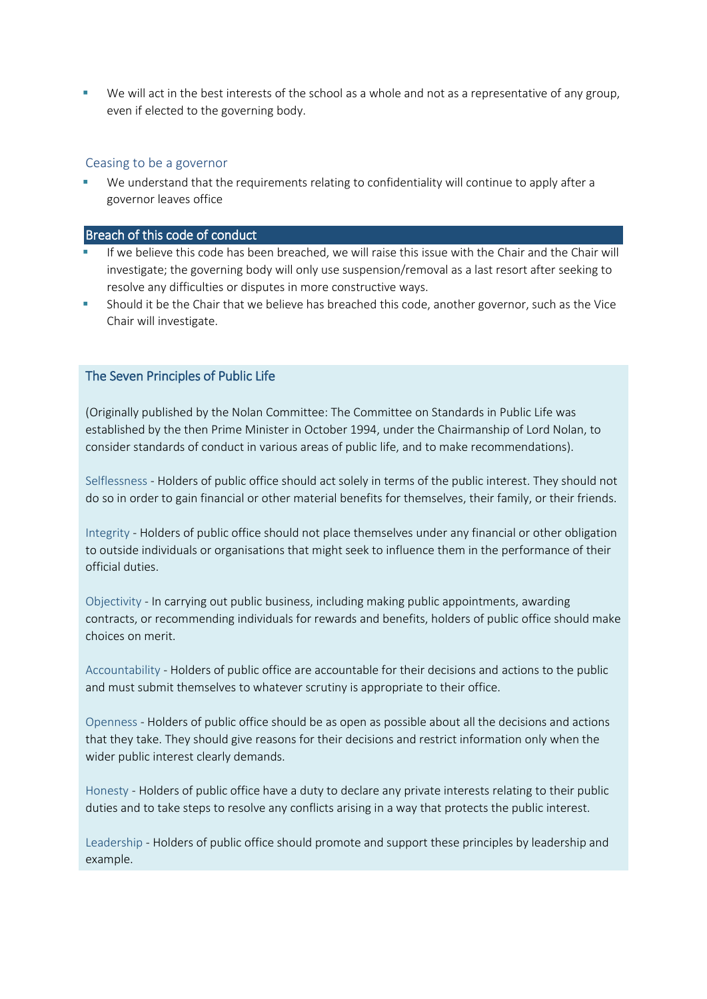We will act in the best interests of the school as a whole and not as a representative of any group, even if elected to the governing body.

#### Ceasing to be a governor

We understand that the requirements relating to confidentiality will continue to apply after a governor leaves office

#### Breach of this code of conduct

- If we believe this code has been breached, we will raise this issue with the Chair and the Chair will investigate; the governing body will only use suspension/removal as a last resort after seeking to resolve any difficulties or disputes in more constructive ways.
- Should it be the Chair that we believe has breached this code, another governor, such as the Vice Chair will investigate.

## The Seven Principles of Public Life

(Originally published by the Nolan Committee: The Committee on Standards in Public Life was established by the then Prime Minister in October 1994, under the Chairmanship of Lord Nolan, to consider standards of conduct in various areas of public life, and to make recommendations).

Selflessness - Holders of public office should act solely in terms of the public interest. They should not do so in order to gain financial or other material benefits for themselves, their family, or their friends.

Integrity - Holders of public office should not place themselves under any financial or other obligation to outside individuals or organisations that might seek to influence them in the performance of their official duties.

Objectivity - In carrying out public business, including making public appointments, awarding contracts, or recommending individuals for rewards and benefits, holders of public office should make choices on merit.

Accountability - Holders of public office are accountable for their decisions and actions to the public and must submit themselves to whatever scrutiny is appropriate to their office.

Openness - Holders of public office should be as open as possible about all the decisions and actions that they take. They should give reasons for their decisions and restrict information only when the wider public interest clearly demands.

Honesty - Holders of public office have a duty to declare any private interests relating to their public duties and to take steps to resolve any conflicts arising in a way that protects the public interest.

Leadership - Holders of public office should promote and support these principles by leadership and example.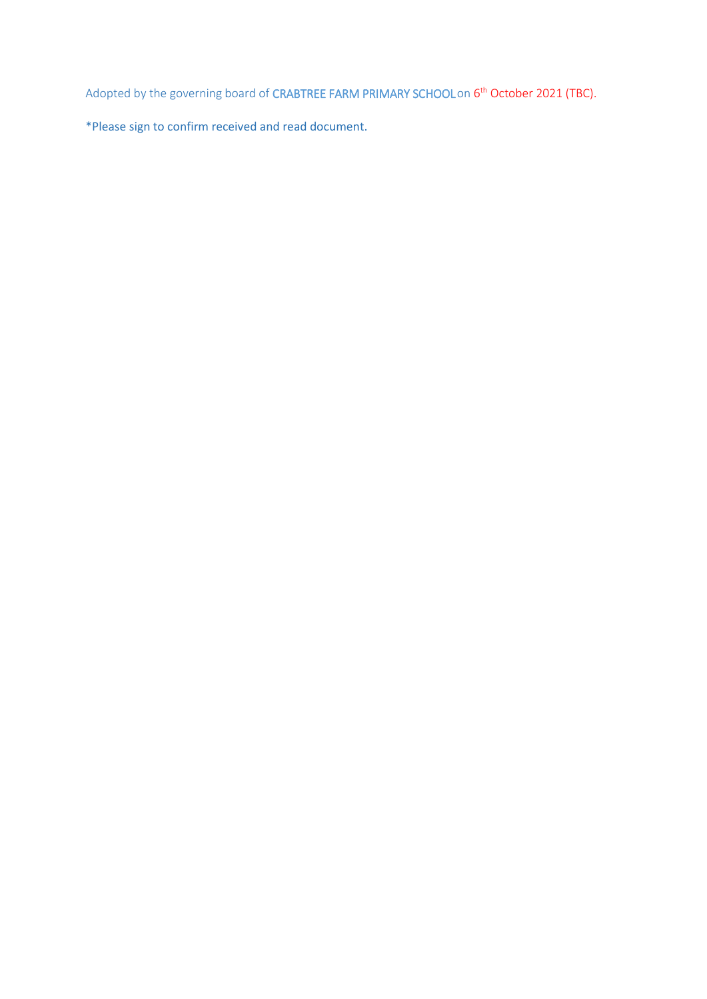Adopted by the governing board of CRABTREE FARM PRIMARY SCHOOL on 6<sup>th</sup> October 2021 (TBC).

\*Please sign to confirm received and read document.